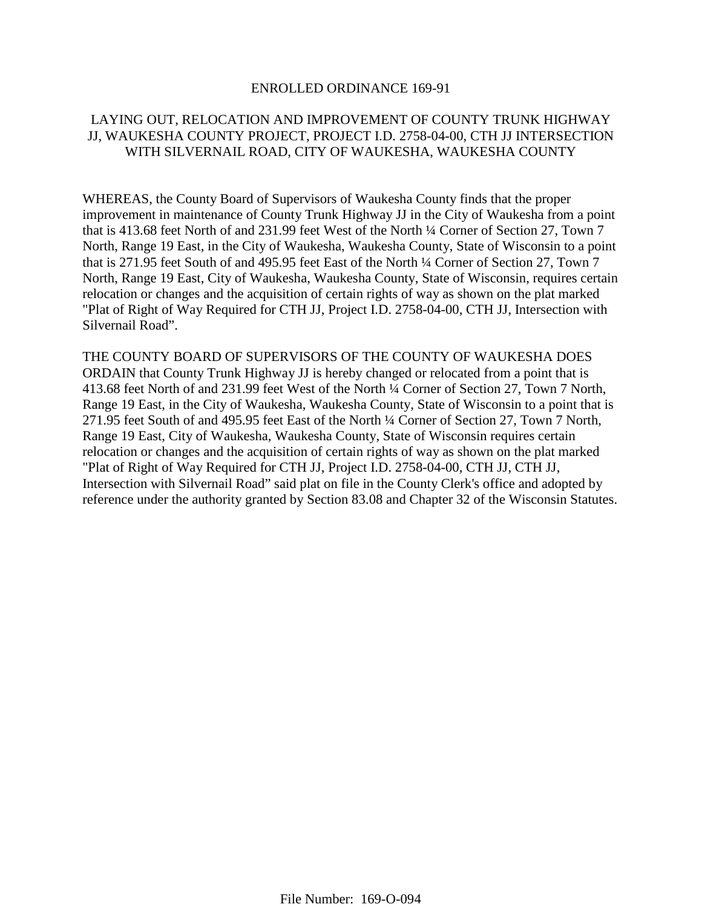#### ENROLLED ORDINANCE 169-91

# LAYING OUT, RELOCATION AND IMPROVEMENT OF COUNTY TRUNK HIGHWAY JJ, WAUKESHA COUNTY PROJECT, PROJECT I.D. 2758-04-00, CTH JJ INTERSECTION WITH SILVERNAIL ROAD, CITY OF WAUKESHA, WAUKESHA COUNTY

WHEREAS, the County Board of Supervisors of Waukesha County finds that the proper improvement in maintenance of County Trunk Highway JJ in the City of Waukesha from a point that is 413.68 feet North of and 231.99 feet West of the North ¼ Corner of Section 27, Town 7 North, Range 19 East, in the City of Waukesha, Waukesha County, State of Wisconsin to a point that is 271.95 feet South of and 495.95 feet East of the North ¼ Corner of Section 27, Town 7 North, Range 19 East, City of Waukesha, Waukesha County, State of Wisconsin, requires certain relocation or changes and the acquisition of certain rights of way as shown on the plat marked "Plat of Right of Way Required for CTH JJ, Project I.D. 2758-04-00, CTH JJ, Intersection with Silvernail Road".

THE COUNTY BOARD OF SUPERVISORS OF THE COUNTY OF WAUKESHA DOES ORDAIN that County Trunk Highway JJ is hereby changed or relocated from a point that is 413.68 feet North of and 231.99 feet West of the North ¼ Corner of Section 27, Town 7 North, Range 19 East, in the City of Waukesha, Waukesha County, State of Wisconsin to a point that is 271.95 feet South of and 495.95 feet East of the North ¼ Corner of Section 27, Town 7 North, Range 19 East, City of Waukesha, Waukesha County, State of Wisconsin requires certain relocation or changes and the acquisition of certain rights of way as shown on the plat marked "Plat of Right of Way Required for CTH JJ, Project I.D. 2758-04-00, CTH JJ, CTH JJ, Intersection with Silvernail Road" said plat on file in the County Clerk's office and adopted by reference under the authority granted by Section 83.08 and Chapter 32 of the Wisconsin Statutes.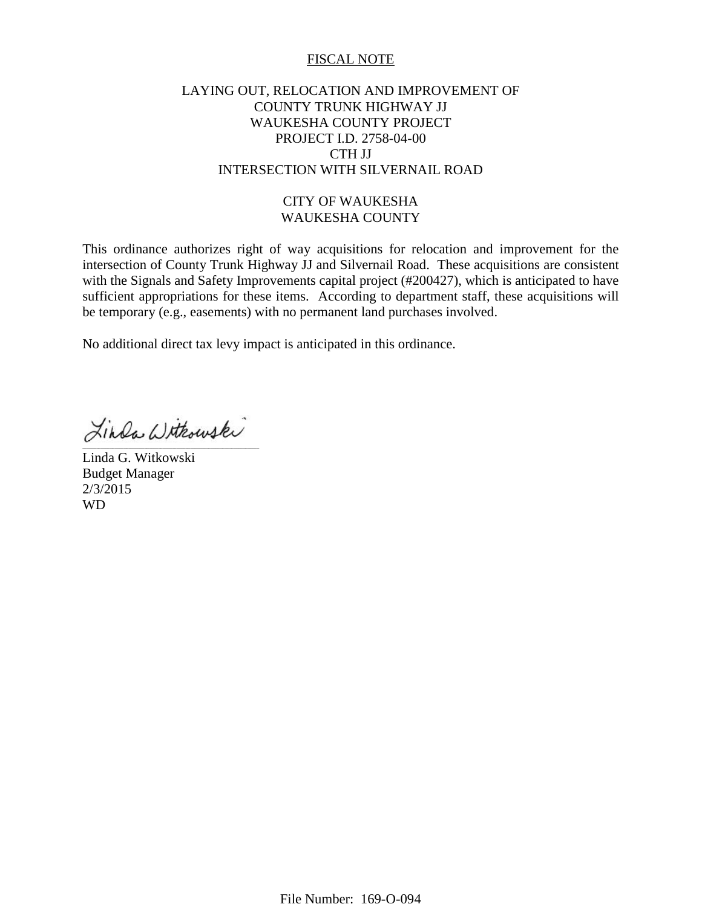### FISCAL NOTE

## LAYING OUT, RELOCATION AND IMPROVEMENT OF COUNTY TRUNK HIGHWAY JJ WAUKESHA COUNTY PROJECT PROJECT I.D. 2758-04-00 CTH JJ INTERSECTION WITH SILVERNAIL ROAD

## CITY OF WAUKESHA WAUKESHA COUNTY

This ordinance authorizes right of way acquisitions for relocation and improvement for the intersection of County Trunk Highway JJ and Silvernail Road. These acquisitions are consistent with the Signals and Safety Improvements capital project (#200427), which is anticipated to have sufficient appropriations for these items. According to department staff, these acquisitions will be temporary (e.g., easements) with no permanent land purchases involved.

No additional direct tax levy impact is anticipated in this ordinance.

Linda Withouski \_\_\_\_\_\_\_\_\_\_\_\_\_\_\_\_\_\_\_\_\_\_\_\_\_\_\_\_\_\_\_\_\_\_\_\_\_\_\_\_\_\_\_\_\_\_\_\_\_\_\_\_\_\_\_\_\_\_\_\_\_\_\_\_\_\_\_\_\_\_\_\_\_\_\_\_\_

Linda G. Witkowski Budget Manager 2/3/2015 WD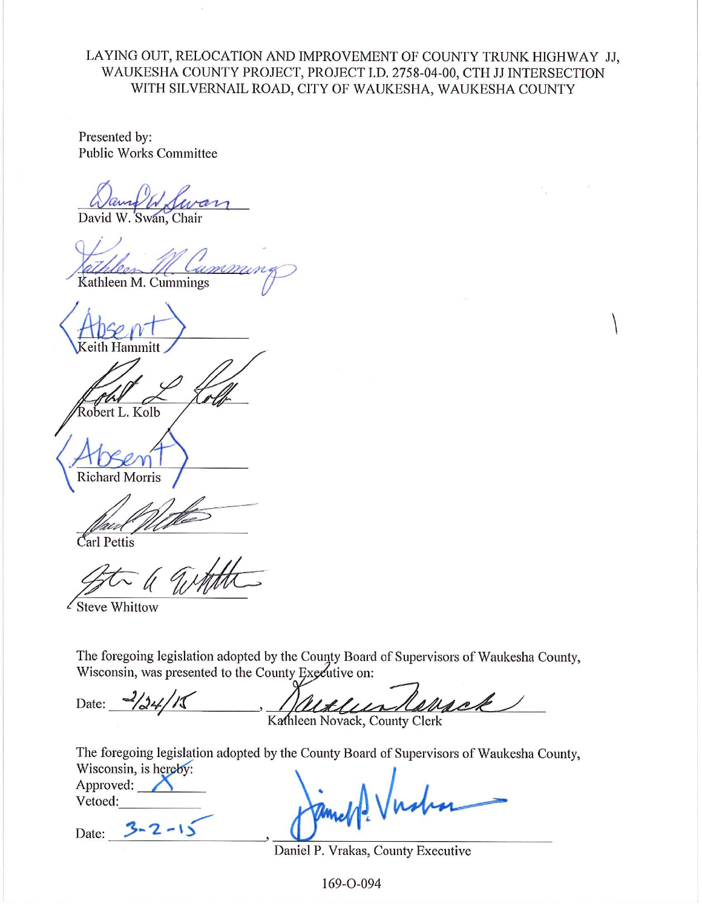LAYING OUT, RELOCATION AND IMPROVEMENT OF COUNTY TRUNK HIGHWAY JJ, WAUKESHA COUNTY PROJECT, PROJECT I.D. 2758-04-00, CTH JJ INTERSECTION WITH SILVERNAIL ROAD, CITY OF WAUKESHA, WAUKESHA COUNTY

Presented by: **Public Works Committee** 

David W. Swan, Chair

ammu Kathleen M. Cummings

Robert L. Kolb

**Richard Morris** 

Carl Pettis

Steve Whittow

The foregoing legislation adopted by the County Board of Supervisors of Waukesha County, Wisconsin, was presented to the County Executive on:

Karsck Date:  $\frac{2}{341}$ 

Kathleen Novack, County Clerk

The foregoing legislation adopted by the County Board of Supervisors of Waukesha County, Wisconsin, is hereby:

Approved:  $\bigwedge$ Vetoed:

 $3 - 2 - 15$ Date:

Daniel P. Vrakas, County Executive

169-O-094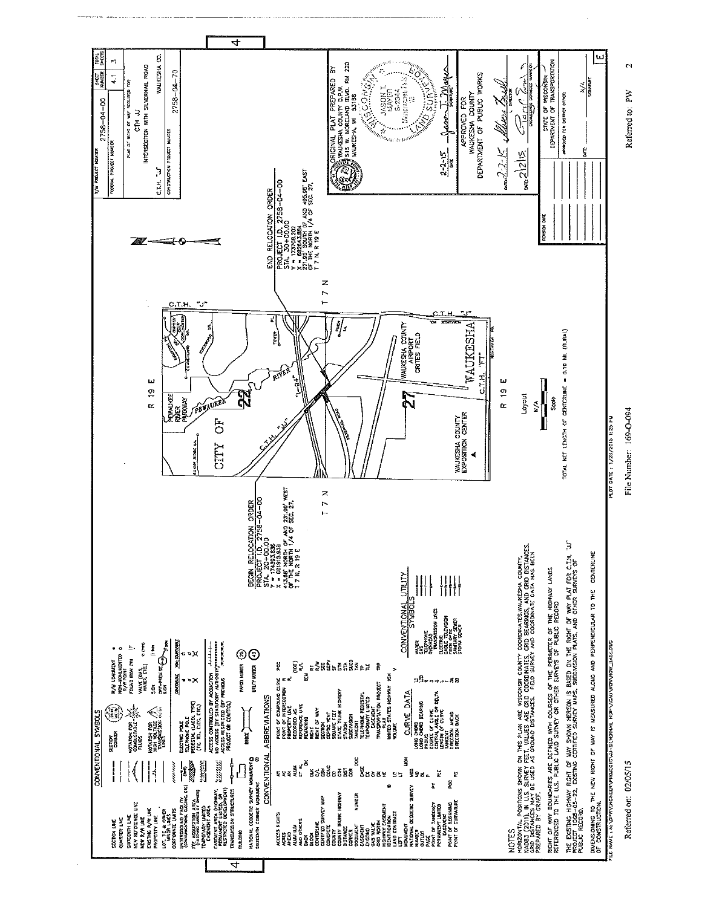

Referred to: PW

File Number: 169-O-094

Referred on: 02/05/15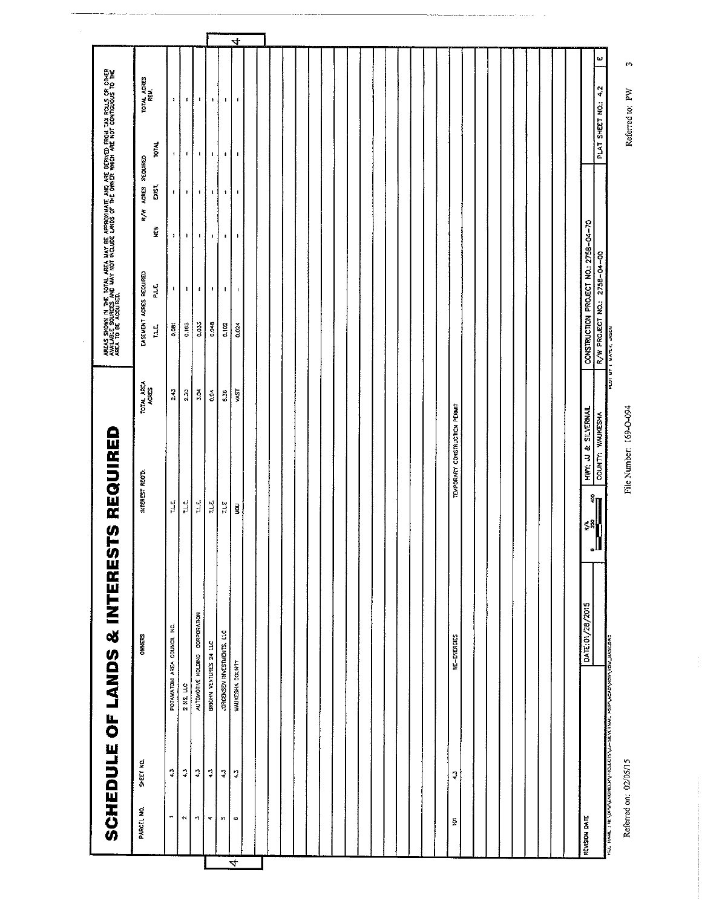|                          |                        | SCHEDULE OF LANDS & INTERESTS REQUIRED                                                |                                                                                                                                                                                                                                                                                                                                                |                               | AREAS SHOWN IN THE TOTAL AREA MAY BE APPROXIMATE AND ARE DEPRED FROM TAX ROLLS OR OTHER<br>AREA TO BE ACCOURD AND MAY NOT INCLUDE LANDS OF THE DYNER WHICH ARE NOT CONTROLOUS TO THE<br>AREA TO BE ACCOURD AND MAY NOT INCLUDE LANDS |             |                              |              |                                      |                          |
|--------------------------|------------------------|---------------------------------------------------------------------------------------|------------------------------------------------------------------------------------------------------------------------------------------------------------------------------------------------------------------------------------------------------------------------------------------------------------------------------------------------|-------------------------------|--------------------------------------------------------------------------------------------------------------------------------------------------------------------------------------------------------------------------------------|-------------|------------------------------|--------------|--------------------------------------|--------------------------|
| PARCEL NO.               | SHEET NO.              | <b>OWNERS</b>                                                                         | INTEREST REO'D                                                                                                                                                                                                                                                                                                                                 | TOTAL AREA                    | EASEMENT AGRES REQUIRED<br>نا<br>ما<br>$\mathbb{L}$                                                                                                                                                                                  | Ž           | R/W ACRES REQUIRED<br>EXIST, | <b>TOTAL</b> | TOTAL ACRES<br>REM.                  |                          |
| $\overline{\phantom{a}}$ | $\ddot{\phantom{0}}$   | POTAWATOMI AREA COUNCIL INC.                                                          | $\overline{\Gamma}$                                                                                                                                                                                                                                                                                                                            | 2.43                          | $\mathbf I$<br>0.081                                                                                                                                                                                                                 | ,           | ŧ                            | $\mathbf{I}$ | $\mathbf{I}$                         |                          |
| $\hat{\phantom{a}}$      | $\ddot{\varphi}$       | 2 NS. LLC                                                                             | $\mathbb{L}\mathbb{L}$                                                                                                                                                                                                                                                                                                                         | 2.30                          | $\pmb{\cdot}$<br>0.163                                                                                                                                                                                                               | $\mathbf I$ | $\mathbf{r}$                 | $\mathbf{I}$ | $\pmb{t}$                            |                          |
| $\overline{\phantom{a}}$ | $\frac{1}{2}$          | AUTOMOTIVE HOLDING CORPORATION                                                        | $1.1\pm$                                                                                                                                                                                                                                                                                                                                       | š                             | $\pmb{\mathfrak{e}}$<br>0,032                                                                                                                                                                                                        | J.          | $\mathbf 1$                  | $\mathbf{I}$ | 1                                    |                          |
| v                        | $\mathfrak{I}$         | BRIOHN VENTURES 24 LLC                                                                | J.LE                                                                                                                                                                                                                                                                                                                                           | $\frac{4}{9}$                 | $\pmb{\iota}$<br>0.048                                                                                                                                                                                                               | 1           | $\mathfrak l$                | $\mathbf I$  | $\pmb{\mathfrak{t}}$                 |                          |
| n                        | $\mathbf{L}^{\bullet}$ | JORGENSEN INVESTMENTS, LLC                                                            | $115$                                                                                                                                                                                                                                                                                                                                          | 5 <sup>5</sup>                | $\pmb{\mathsf{f}}$<br>0.102                                                                                                                                                                                                          | f,          | 1                            | 1            | $\mathbf{I}$                         |                          |
| ¢                        | $\ddot{\varphi}$       | WAUKESHA COUNTY                                                                       | <b>DOM</b>                                                                                                                                                                                                                                                                                                                                     | VAST                          | $\mathbf I$<br>0.024                                                                                                                                                                                                                 | D           | $\blacksquare$               | $\mathbf{I}$ | $\mathbf{I}$                         | $\overline{\mathcal{A}}$ |
|                          |                        |                                                                                       |                                                                                                                                                                                                                                                                                                                                                |                               |                                                                                                                                                                                                                                      |             |                              |              |                                      |                          |
|                          |                        |                                                                                       |                                                                                                                                                                                                                                                                                                                                                |                               |                                                                                                                                                                                                                                      |             |                              |              |                                      |                          |
|                          |                        |                                                                                       |                                                                                                                                                                                                                                                                                                                                                |                               |                                                                                                                                                                                                                                      |             |                              |              |                                      |                          |
|                          |                        |                                                                                       |                                                                                                                                                                                                                                                                                                                                                |                               |                                                                                                                                                                                                                                      |             |                              |              |                                      |                          |
|                          |                        |                                                                                       |                                                                                                                                                                                                                                                                                                                                                |                               |                                                                                                                                                                                                                                      |             |                              |              |                                      |                          |
|                          |                        |                                                                                       |                                                                                                                                                                                                                                                                                                                                                |                               |                                                                                                                                                                                                                                      |             |                              |              |                                      |                          |
|                          |                        |                                                                                       |                                                                                                                                                                                                                                                                                                                                                |                               |                                                                                                                                                                                                                                      |             |                              |              |                                      |                          |
|                          |                        |                                                                                       |                                                                                                                                                                                                                                                                                                                                                |                               |                                                                                                                                                                                                                                      |             |                              |              |                                      |                          |
|                          |                        |                                                                                       |                                                                                                                                                                                                                                                                                                                                                |                               |                                                                                                                                                                                                                                      |             |                              |              |                                      |                          |
|                          |                        |                                                                                       |                                                                                                                                                                                                                                                                                                                                                |                               |                                                                                                                                                                                                                                      |             |                              |              |                                      |                          |
|                          |                        |                                                                                       |                                                                                                                                                                                                                                                                                                                                                |                               |                                                                                                                                                                                                                                      |             |                              |              |                                      |                          |
|                          |                        |                                                                                       |                                                                                                                                                                                                                                                                                                                                                |                               |                                                                                                                                                                                                                                      |             |                              |              |                                      |                          |
|                          |                        |                                                                                       |                                                                                                                                                                                                                                                                                                                                                |                               |                                                                                                                                                                                                                                      |             |                              |              |                                      |                          |
|                          |                        |                                                                                       |                                                                                                                                                                                                                                                                                                                                                |                               |                                                                                                                                                                                                                                      |             |                              |              |                                      |                          |
|                          |                        |                                                                                       |                                                                                                                                                                                                                                                                                                                                                |                               |                                                                                                                                                                                                                                      |             |                              |              |                                      |                          |
| $\vec{2}$                | $\ddot{\downarrow}$    | WE-ENERGIES                                                                           |                                                                                                                                                                                                                                                                                                                                                | TEMPORARY CONSTRUCTION PERMIT |                                                                                                                                                                                                                                      |             |                              |              |                                      |                          |
|                          |                        |                                                                                       |                                                                                                                                                                                                                                                                                                                                                |                               |                                                                                                                                                                                                                                      |             |                              |              |                                      |                          |
|                          |                        |                                                                                       |                                                                                                                                                                                                                                                                                                                                                |                               |                                                                                                                                                                                                                                      |             |                              |              |                                      |                          |
|                          |                        |                                                                                       |                                                                                                                                                                                                                                                                                                                                                |                               |                                                                                                                                                                                                                                      |             |                              |              |                                      |                          |
|                          |                        |                                                                                       |                                                                                                                                                                                                                                                                                                                                                |                               |                                                                                                                                                                                                                                      |             |                              |              |                                      |                          |
|                          |                        |                                                                                       |                                                                                                                                                                                                                                                                                                                                                |                               |                                                                                                                                                                                                                                      |             |                              |              |                                      |                          |
| REVISION DATE            |                        | DATE: 01/28/2015                                                                      | န္<br>န<br>$\begin{bmatrix} 1 & 0 & 0 \\ 0 & 0 & 0 \\ 0 & 0 & 0 \\ 0 & 0 & 0 \\ 0 & 0 & 0 \\ 0 & 0 & 0 \\ 0 & 0 & 0 \\ 0 & 0 & 0 \\ 0 & 0 & 0 \\ 0 & 0 & 0 \\ 0 & 0 & 0 \\ 0 & 0 & 0 \\ 0 & 0 & 0 \\ 0 & 0 & 0 \\ 0 & 0 & 0 & 0 \\ 0 & 0 & 0 & 0 \\ 0 & 0 & 0 & 0 \\ 0 & 0 & 0 & 0 \\ 0 & 0 & 0 & 0 \\ 0 & 0 & 0 & 0 \\ 0 & 0 & 0 & 0 \\ 0 & $ | HWY: JJ & SILVERNAIL          | CONSTRUCTION PROJECT NO.: 2758-04-70                                                                                                                                                                                                 |             |                              |              |                                      |                          |
|                          |                        |                                                                                       |                                                                                                                                                                                                                                                                                                                                                | COUNTY: WAUKESHA              | R/W PROJECT NO.: 2758-04-00                                                                                                                                                                                                          |             |                              |              | ω<br>PLAT SHEET NO.: 4.2             |                          |
|                          |                        | <b>FILE WAAL 5 N: \OPYWEACHERY-PROJECTS\\J=="WERKAIL FISIP\ACAD\XRYWERGY_BASE.DWG</b> |                                                                                                                                                                                                                                                                                                                                                |                               |                                                                                                                                                                                                                                      |             |                              |              |                                      |                          |
| Referred on: 02/05/15    |                        |                                                                                       |                                                                                                                                                                                                                                                                                                                                                | File Number: 169-O-094        |                                                                                                                                                                                                                                      |             |                              |              | $\leftrightarrow$<br>Referred to: PW |                          |

 $\begin{array}{|c|c|c|}\n\hline\n\hline\n\end{array}$